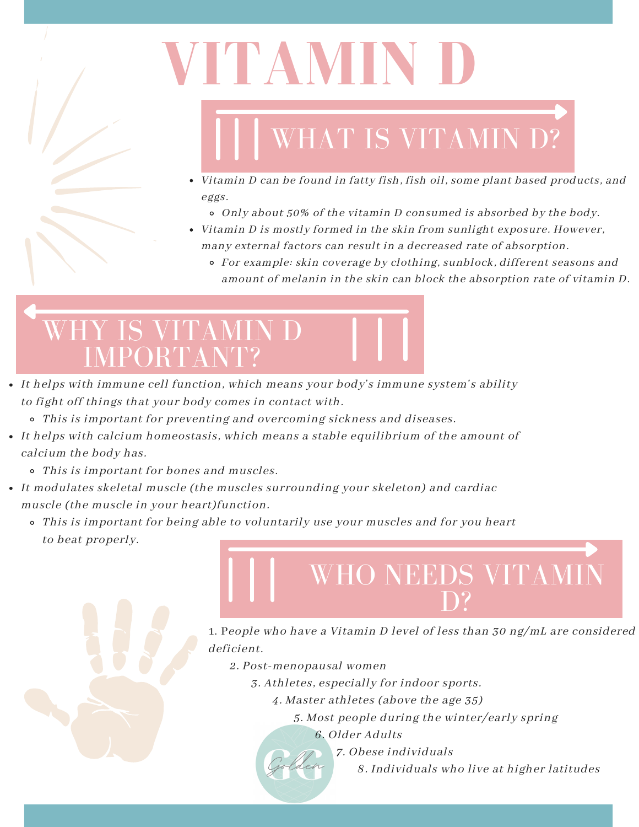

# **VITAMIN D**

## WHAT IS VITAMIN D?

- Vitamin D can be found in fatty fish, fish oil, some plant based products, and eggs.
	- Only about 50% of the vitamin D consumed is absorbed by the body.
- Vitamin D is mostly formed in the skin from sunlight exposure. However, many external factors can result in a decreased rate of absorption.
	- For example: skin coverage by clothing, sunblock, different seasons and amount of melanin in the skin can block the absorption rate of vitamin D.

#### WHY IS VITAMIN D IMPORTANT?

- It helps with immune cell function, which means your body's immune system's ability to fight off things that your body comes in contact with.
	- This is important for preventing and overcoming sickness and diseases.
- It helps with calcium homeostasis, which means a stable equilibrium of the amount of calcium the body has.
	- This is important for bones and muscles.
- It modulates skeletal muscle (the muscles surrounding your skeleton) and cardiac muscle (the muscle in your heart)function.
	- This is important for being able to voluntarily use your muscles and for you heart to beat properly.

1. People who have a Vitamin D level of less than 30 ng/mL are considered deficient.

WHO NEEDS VITAMIN

D?

- 2. Post-menopausal women
	- 3. Athletes, especially for indoor sports.
		- 4. Master athletes (above the age 35)
			- 5. Most people during the winter/early spring
				- 6. Older Adults
					- 7. Obese individuals
						- 8. Individuals who live at higher latitudes